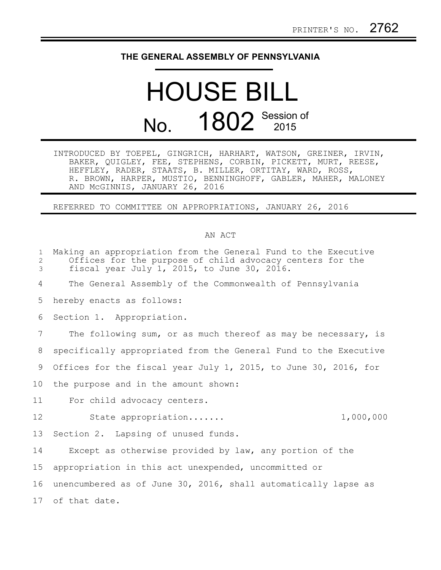## **THE GENERAL ASSEMBLY OF PENNSYLVANIA**

## HOUSE BILL No. 1802 Session of

INTRODUCED BY TOEPEL, GINGRICH, HARHART, WATSON, GREINER, IRVIN, BAKER, QUIGLEY, FEE, STEPHENS, CORBIN, PICKETT, MURT, REESE, HEFFLEY, RADER, STAATS, B. MILLER, ORTITAY, WARD, ROSS, R. BROWN, HARPER, MUSTIO, BENNINGHOFF, GABLER, MAHER, MALONEY AND McGINNIS, JANUARY 26, 2016

REFERRED TO COMMITTEE ON APPROPRIATIONS, JANUARY 26, 2016

## AN ACT

| $\mathbf{1}$<br>2<br>3 | Making an appropriation from the General Fund to the Executive<br>Offices for the purpose of child advocacy centers for the<br>fiscal year July 1, 2015, to June 30, 2016. |
|------------------------|----------------------------------------------------------------------------------------------------------------------------------------------------------------------------|
| 4                      | The General Assembly of the Commonwealth of Pennsylvania                                                                                                                   |
| 5                      | hereby enacts as follows:                                                                                                                                                  |
| 6                      | Section 1. Appropriation.                                                                                                                                                  |
| 7                      | The following sum, or as much thereof as may be necessary, is                                                                                                              |
| 8                      | specifically appropriated from the General Fund to the Executive                                                                                                           |
| 9                      | Offices for the fiscal year July 1, 2015, to June 30, 2016, for                                                                                                            |
| 10                     | the purpose and in the amount shown:                                                                                                                                       |
| 11                     | For child advocacy centers.                                                                                                                                                |
| 12                     | 1,000,000<br>State appropriation                                                                                                                                           |
| 13                     | Section 2. Lapsing of unused funds.                                                                                                                                        |
| 14                     | Except as otherwise provided by law, any portion of the                                                                                                                    |
| 15                     | appropriation in this act unexpended, uncommitted or                                                                                                                       |
| 16                     | unencumbered as of June 30, 2016, shall automatically lapse as                                                                                                             |
| 17<br>of that date.    |                                                                                                                                                                            |